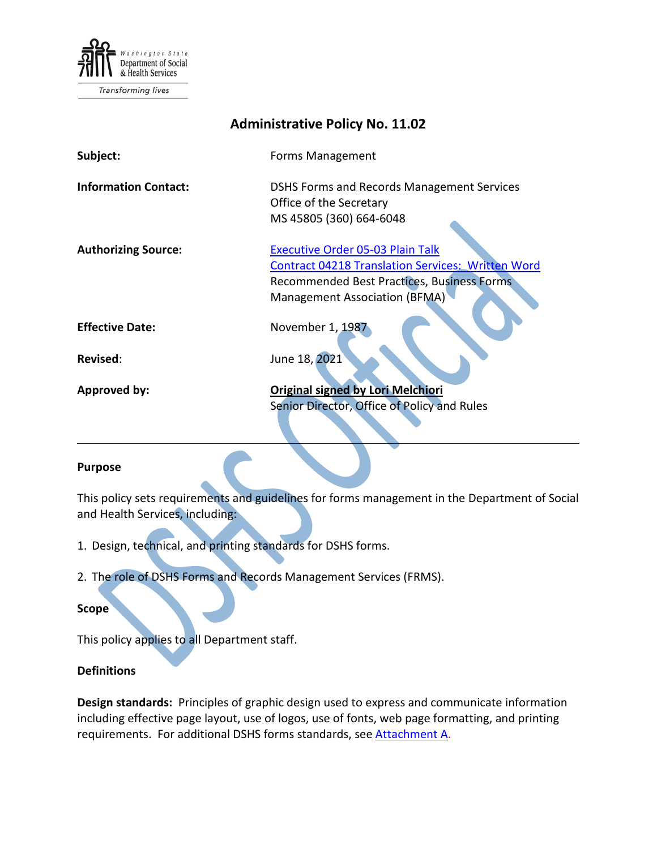

Transforming lives

| <b>Administrative Policy No. 11.02</b> |                                                                                                                                                                                    |
|----------------------------------------|------------------------------------------------------------------------------------------------------------------------------------------------------------------------------------|
| Subject:                               | Forms Management                                                                                                                                                                   |
| <b>Information Contact:</b>            | DSHS Forms and Records Management Services<br>Office of the Secretary<br>MS 45805 (360) 664-6048                                                                                   |
| <b>Authorizing Source:</b>             | <b>Executive Order 05-03 Plain Talk</b><br><b>Contract 04218 Translation Services: Written Word</b><br>Recommended Best Practices, Business Forms<br>Management Association (BFMA) |
| <b>Effective Date:</b>                 | November 1, 1987                                                                                                                                                                   |
| Revised:                               | June 18, 2021                                                                                                                                                                      |
| Approved by:                           | <b>Original signed by Lori Melchiori</b><br>Senior Director, Office of Policy and Rules                                                                                            |

#### **Purpose**

This policy sets requirements and guidelines for forms management in the Department of Social and Health Services, including:

\_\_\_\_\_\_\_\_\_\_\_\_\_\_\_\_\_\_\_\_\_\_\_\_\_\_\_\_\_\_\_\_\_\_\_\_\_\_\_\_\_\_\_\_\_\_\_\_\_\_\_\_\_\_\_\_\_\_\_\_\_\_\_\_\_\_\_\_\_\_\_\_\_\_\_\_\_\_

- 1. Design, technical, and printing standards for DSHS forms.
- 2. The role of DSHS Forms and Records Management Services (FRMS).

#### **Scope**

This policy applies to all Department staff.

#### **Definitions**

**Design standards:** Principles of graphic design used to express and communicate information including effective page layout, use of logos, use of fonts, web page formatting, and printing requirements. For additional DSHS forms standards, see [Attachment A.](#page-3-0)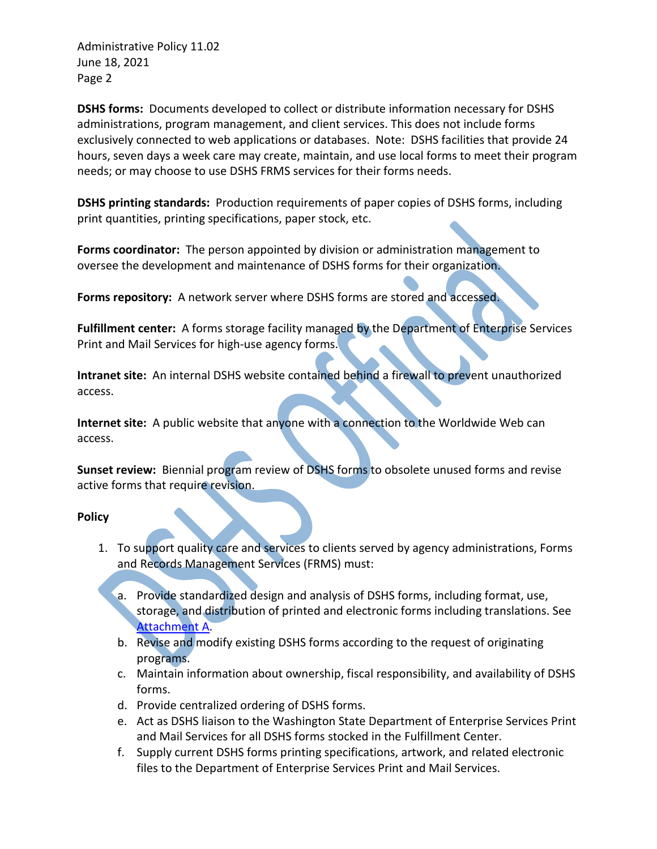Administrative Policy 11.02 June 18, 2021 Page 2

**DSHS forms:** Documents developed to collect or distribute information necessary for DSHS administrations, program management, and client services. This does not include forms exclusively connected to web applications or databases. Note: DSHS facilities that provide 24 hours, seven days a week care may create, maintain, and use local forms to meet their program needs; or may choose to use DSHS FRMS services for their forms needs.

**DSHS printing standards:** Production requirements of paper copies of DSHS forms, including print quantities, printing specifications, paper stock, etc.

**Forms coordinator:** The person appointed by division or administration management to oversee the development and maintenance of DSHS forms for their organization.

**Forms repository:** A network server where DSHS forms are stored and accessed.

**Fulfillment center:** A forms storage facility managed by the Department of Enterprise Services Print and Mail Services for high-use agency forms.

**Intranet site:** An internal DSHS website contained behind a firewall to prevent unauthorized access.

**Internet site:** A public website that anyone with a connection to the Worldwide Web can access.

**Sunset review:** Biennial program review of DSHS forms to obsolete unused forms and revise active forms that require revision.

# **Policy**

- 1. To support quality care and services to clients served by agency administrations, Forms and Records Management Services (FRMS) must:
	- a. Provide standardized design and analysis of DSHS forms, including format, use, storage, and distribution of printed and electronic forms including translations. See [Attachment A.](#page-3-0)
	- b. Revise and modify existing DSHS forms according to the request of originating programs.
	- c. Maintain information about ownership, fiscal responsibility, and availability of DSHS forms.
	- d. Provide centralized ordering of DSHS forms.
	- e. Act as DSHS liaison to the Washington State Department of Enterprise Services Print and Mail Services for all DSHS forms stocked in the Fulfillment Center.
	- f. Supply current DSHS forms printing specifications, artwork, and related electronic files to the Department of Enterprise Services Print and Mail Services.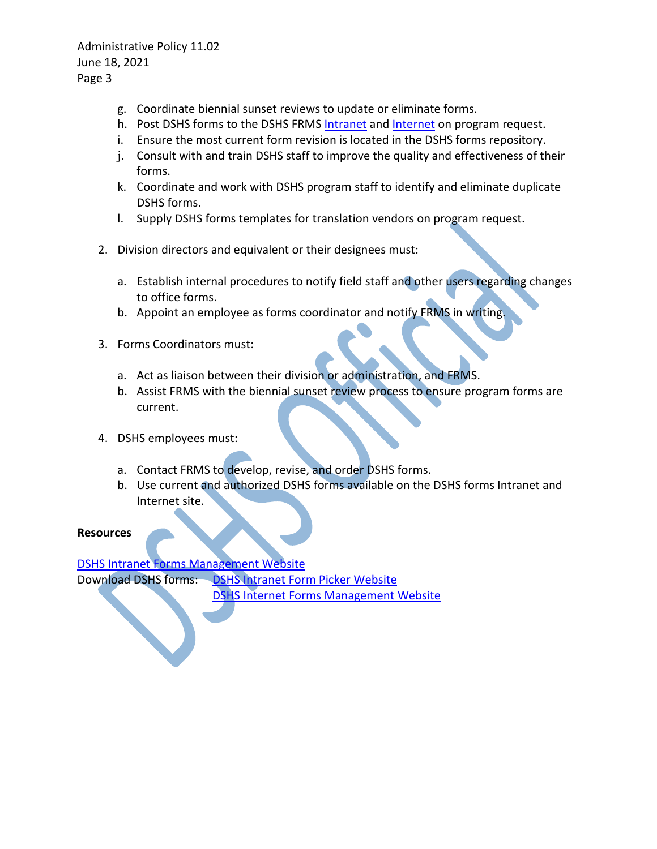Administrative Policy 11.02 June 18, 2021 Page 3

- g. Coordinate biennial sunset reviews to update or eliminate forms.
- h. Post DSHS forms to the DSHS FRMS [Intranet](http://forms.dshs.wa.lcl/) an[d Internet](http://www.dshs.wa.gov/fsa/forms) on program request.
- i. Ensure the most current form revision is located in the DSHS forms repository.
- j. Consult with and train DSHS staff to improve the quality and effectiveness of their forms.
- k. Coordinate and work with DSHS program staff to identify and eliminate duplicate DSHS forms.
- l. Supply DSHS forms templates for translation vendors on program request.
- 2. Division directors and equivalent or their designees must:
	- a. Establish internal procedures to notify field staff and other users regarding changes to office forms.
	- b. Appoint an employee as forms coordinator and notify FRMS in writing.
- 3. Forms Coordinators must:
	- a. Act as liaison between their division or administration, and FRMS.
	- b. Assist FRMS with the biennial sunset review process to ensure program forms are current.
- 4. DSHS employees must:
	- a. Contact FRMS to develop, revise, and order DSHS forms.
	- b. Use current and authorized DSHS forms available on the DSHS forms Intranet and Internet site.

**Resources**

[DSHS Intranet Forms Management Website](http://one.dshs.wa.lcl/FS/Loss/Forms/Pages/default.aspx) Download DSHS forms: [DSHS Intranet Form Picker Website](http://forms.dshs.wa.lcl/) [DSHS Internet Forms Management Website](https://www.dshs.wa.gov/fsa/forms)